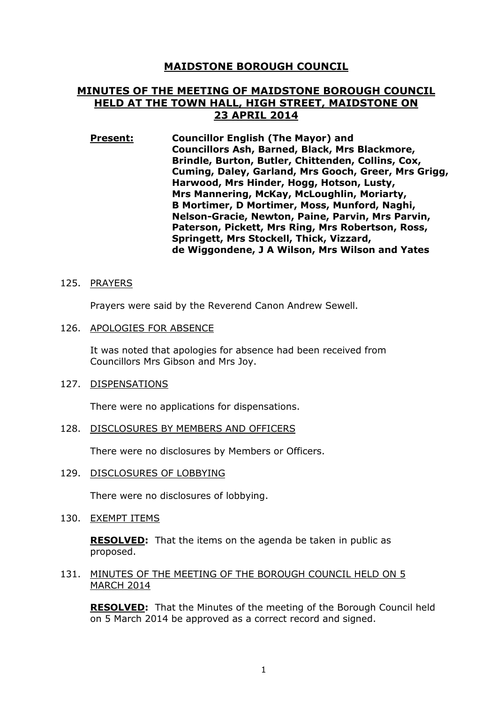# **MAIDSTONE BOROUGH COUNCIL**

# **MINUTES OF THE MEETING OF MAIDSTONE BOROUGH COUNCIL HELD AT THE TOWN HALL, HIGH STREET, MAIDSTONE ON 23 APRIL 2014**

**Present: Councillor English (The Mayor) and Councillors Ash, Barned, Black, Mrs Blackmore, Brindle, Burton, Butler, Chittenden, Collins, Cox, Cuming, Daley, Garland, Mrs Gooch, Greer, Mrs Grigg, Harwood, Mrs Hinder, Hogg, Hotson, Lusty, Mrs Mannering, McKay, McLoughlin, Moriarty, B Mortimer, D Mortimer, Moss, Munford, Naghi, Nelson-Gracie, Newton, Paine, Parvin, Mrs Parvin, Paterson, Pickett, Mrs Ring, Mrs Robertson, Ross, Springett, Mrs Stockell, Thick, Vizzard, de Wiggondene, J A Wilson, Mrs Wilson and Yates** 

# 125. PRAYERS

Prayers were said by the Reverend Canon Andrew Sewell.

# 126. APOLOGIES FOR ABSENCE

It was noted that apologies for absence had been received from Councillors Mrs Gibson and Mrs Joy.

#### 127. DISPENSATIONS

There were no applications for dispensations.

#### 128. DISCLOSURES BY MEMBERS AND OFFICERS

There were no disclosures by Members or Officers.

129. DISCLOSURES OF LOBBYING

There were no disclosures of lobbying.

130. EXEMPT ITEMS

**RESOLVED:** That the items on the agenda be taken in public as proposed.

131. MINUTES OF THE MEETING OF THE BOROUGH COUNCIL HELD ON 5 MARCH 2014

**RESOLVED:** That the Minutes of the meeting of the Borough Council held on 5 March 2014 be approved as a correct record and signed.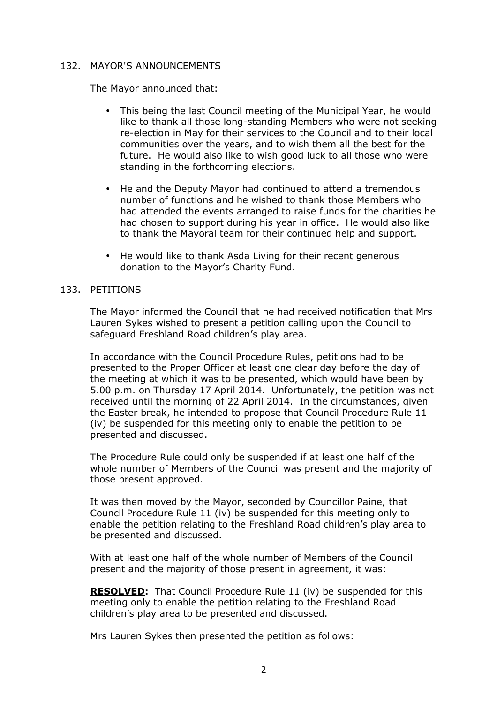# 132. MAYOR'S ANNOUNCEMENTS

The Mayor announced that:

- This being the last Council meeting of the Municipal Year, he would like to thank all those long-standing Members who were not seeking re-election in May for their services to the Council and to their local communities over the years, and to wish them all the best for the future. He would also like to wish good luck to all those who were standing in the forthcoming elections.
- He and the Deputy Mayor had continued to attend a tremendous number of functions and he wished to thank those Members who had attended the events arranged to raise funds for the charities he had chosen to support during his year in office. He would also like to thank the Mayoral team for their continued help and support.
- He would like to thank Asda Living for their recent generous donation to the Mayor's Charity Fund.

# 133. PETITIONS

The Mayor informed the Council that he had received notification that Mrs Lauren Sykes wished to present a petition calling upon the Council to safeguard Freshland Road children's play area.

In accordance with the Council Procedure Rules, petitions had to be presented to the Proper Officer at least one clear day before the day of the meeting at which it was to be presented, which would have been by 5.00 p.m. on Thursday 17 April 2014. Unfortunately, the petition was not received until the morning of 22 April 2014. In the circumstances, given the Easter break, he intended to propose that Council Procedure Rule 11 (iv) be suspended for this meeting only to enable the petition to be presented and discussed.

The Procedure Rule could only be suspended if at least one half of the whole number of Members of the Council was present and the majority of those present approved.

It was then moved by the Mayor, seconded by Councillor Paine, that Council Procedure Rule 11 (iv) be suspended for this meeting only to enable the petition relating to the Freshland Road children's play area to be presented and discussed.

With at least one half of the whole number of Members of the Council present and the majority of those present in agreement, it was:

**RESOLVED:** That Council Procedure Rule 11 (iv) be suspended for this meeting only to enable the petition relating to the Freshland Road children's play area to be presented and discussed.

Mrs Lauren Sykes then presented the petition as follows: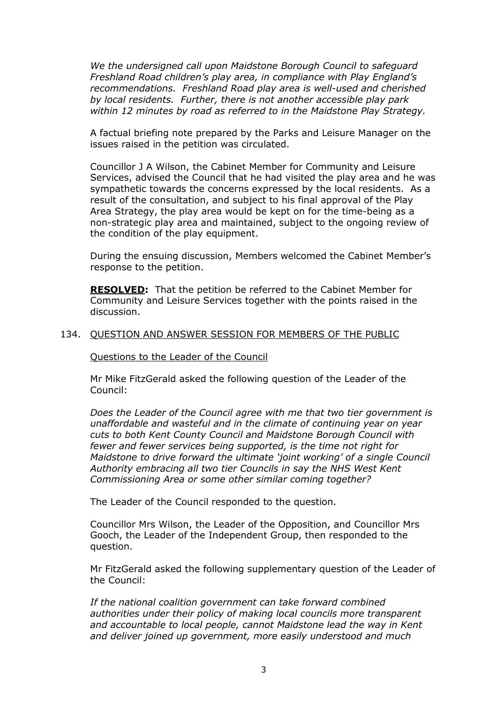*We the undersigned call upon Maidstone Borough Council to safeguard Freshland Road children's play area, in compliance with Play England's recommendations. Freshland Road play area is well-used and cherished by local residents. Further, there is not another accessible play park within 12 minutes by road as referred to in the Maidstone Play Strategy.* 

A factual briefing note prepared by the Parks and Leisure Manager on the issues raised in the petition was circulated.

Councillor J A Wilson, the Cabinet Member for Community and Leisure Services, advised the Council that he had visited the play area and he was sympathetic towards the concerns expressed by the local residents. As a result of the consultation, and subject to his final approval of the Play Area Strategy, the play area would be kept on for the time-being as a non-strategic play area and maintained, subject to the ongoing review of the condition of the play equipment.

During the ensuing discussion, Members welcomed the Cabinet Member's response to the petition.

**RESOLVED:** That the petition be referred to the Cabinet Member for Community and Leisure Services together with the points raised in the discussion.

#### 134. QUESTION AND ANSWER SESSION FOR MEMBERS OF THE PUBLIC

Questions to the Leader of the Council

Mr Mike FitzGerald asked the following question of the Leader of the Council:

*Does the Leader of the Council agree with me that two tier government is unaffordable and wasteful and in the climate of continuing year on year cuts to both Kent County Council and Maidstone Borough Council with fewer and fewer services being supported, is the time not right for Maidstone to drive forward the ultimate 'joint working' of a single Council Authority embracing all two tier Councils in say the NHS West Kent Commissioning Area or some other similar coming together?* 

The Leader of the Council responded to the question.

Councillor Mrs Wilson, the Leader of the Opposition, and Councillor Mrs Gooch, the Leader of the Independent Group, then responded to the question.

Mr FitzGerald asked the following supplementary question of the Leader of the Council:

*If the national coalition government can take forward combined authorities under their policy of making local councils more transparent and accountable to local people, cannot Maidstone lead the way in Kent and deliver joined up government, more easily understood and much*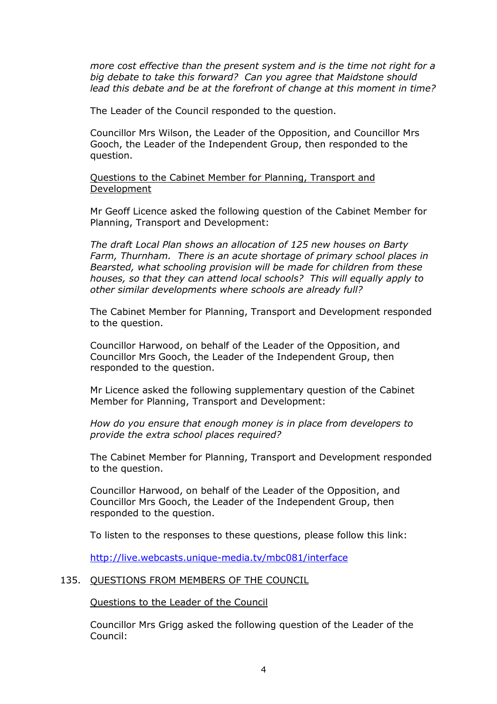*more cost effective than the present system and is the time not right for a big debate to take this forward? Can you agree that Maidstone should lead this debate and be at the forefront of change at this moment in time?* 

The Leader of the Council responded to the question.

Councillor Mrs Wilson, the Leader of the Opposition, and Councillor Mrs Gooch, the Leader of the Independent Group, then responded to the question.

Questions to the Cabinet Member for Planning, Transport and Development

Mr Geoff Licence asked the following question of the Cabinet Member for Planning, Transport and Development:

*The draft Local Plan shows an allocation of 125 new houses on Barty Farm, Thurnham. There is an acute shortage of primary school places in Bearsted, what schooling provision will be made for children from these houses, so that they can attend local schools? This will equally apply to other similar developments where schools are already full?*

The Cabinet Member for Planning, Transport and Development responded to the question.

Councillor Harwood, on behalf of the Leader of the Opposition, and Councillor Mrs Gooch, the Leader of the Independent Group, then responded to the question.

Mr Licence asked the following supplementary question of the Cabinet Member for Planning, Transport and Development:

*How do you ensure that enough money is in place from developers to provide the extra school places required?* 

The Cabinet Member for Planning, Transport and Development responded to the question.

Councillor Harwood, on behalf of the Leader of the Opposition, and Councillor Mrs Gooch, the Leader of the Independent Group, then responded to the question.

To listen to the responses to these questions, please follow this link:

http://live.webcasts.unique-media.tv/mbc081/interface

# 135. QUESTIONS FROM MEMBERS OF THE COUNCIL

Questions to the Leader of the Council

Councillor Mrs Grigg asked the following question of the Leader of the Council: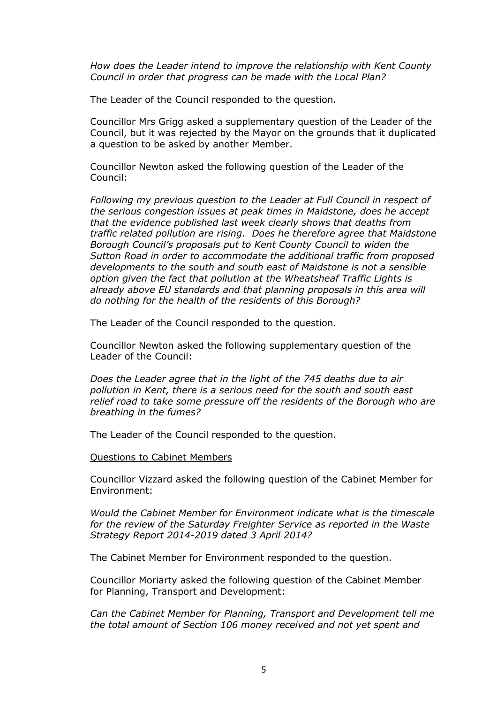*How does the Leader intend to improve the relationship with Kent County Council in order that progress can be made with the Local Plan?* 

The Leader of the Council responded to the question.

Councillor Mrs Grigg asked a supplementary question of the Leader of the Council, but it was rejected by the Mayor on the grounds that it duplicated a question to be asked by another Member.

Councillor Newton asked the following question of the Leader of the Council:

*Following my previous question to the Leader at Full Council in respect of the serious congestion issues at peak times in Maidstone, does he accept that the evidence published last week clearly shows that deaths from traffic related pollution are rising. Does he therefore agree that Maidstone Borough Council's proposals put to Kent County Council to widen the Sutton Road in order to accommodate the additional traffic from proposed developments to the south and south east of Maidstone is not a sensible option given the fact that pollution at the Wheatsheaf Traffic Lights is already above EU standards and that planning proposals in this area will do nothing for the health of the residents of this Borough?* 

The Leader of the Council responded to the question.

Councillor Newton asked the following supplementary question of the Leader of the Council:

*Does the Leader agree that in the light of the 745 deaths due to air pollution in Kent, there is a serious need for the south and south east relief road to take some pressure off the residents of the Borough who are breathing in the fumes?* 

The Leader of the Council responded to the question.

Questions to Cabinet Members

Councillor Vizzard asked the following question of the Cabinet Member for Environment:

*Would the Cabinet Member for Environment indicate what is the timescale for the review of the Saturday Freighter Service as reported in the Waste Strategy Report 2014-2019 dated 3 April 2014?* 

The Cabinet Member for Environment responded to the question.

Councillor Moriarty asked the following question of the Cabinet Member for Planning, Transport and Development:

*Can the Cabinet Member for Planning, Transport and Development tell me the total amount of Section 106 money received and not yet spent and*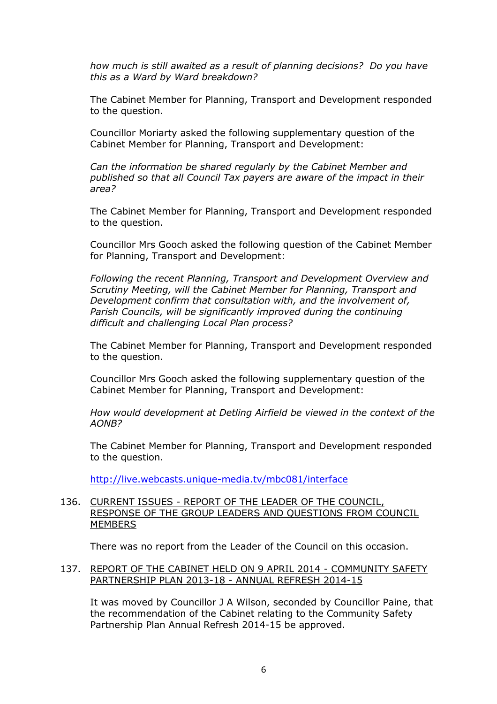*how much is still awaited as a result of planning decisions? Do you have this as a Ward by Ward breakdown?* 

The Cabinet Member for Planning, Transport and Development responded to the question.

Councillor Moriarty asked the following supplementary question of the Cabinet Member for Planning, Transport and Development:

*Can the information be shared regularly by the Cabinet Member and published so that all Council Tax payers are aware of the impact in their area?* 

The Cabinet Member for Planning, Transport and Development responded to the question.

Councillor Mrs Gooch asked the following question of the Cabinet Member for Planning, Transport and Development:

*Following the recent Planning, Transport and Development Overview and Scrutiny Meeting, will the Cabinet Member for Planning, Transport and Development confirm that consultation with, and the involvement of, Parish Councils, will be significantly improved during the continuing difficult and challenging Local Plan process?* 

The Cabinet Member for Planning, Transport and Development responded to the question.

Councillor Mrs Gooch asked the following supplementary question of the Cabinet Member for Planning, Transport and Development:

*How would development at Detling Airfield be viewed in the context of the AONB?* 

The Cabinet Member for Planning, Transport and Development responded to the question.

http://live.webcasts.unique-media.tv/mbc081/interface

# 136. CURRENT ISSUES - REPORT OF THE LEADER OF THE COUNCIL, RESPONSE OF THE GROUP LEADERS AND QUESTIONS FROM COUNCIL **MEMBERS**

There was no report from the Leader of the Council on this occasion.

# 137. REPORT OF THE CABINET HELD ON 9 APRIL 2014 - COMMUNITY SAFETY PARTNERSHIP PLAN 2013-18 - ANNUAL REFRESH 2014-15

It was moved by Councillor J A Wilson, seconded by Councillor Paine, that the recommendation of the Cabinet relating to the Community Safety Partnership Plan Annual Refresh 2014-15 be approved.